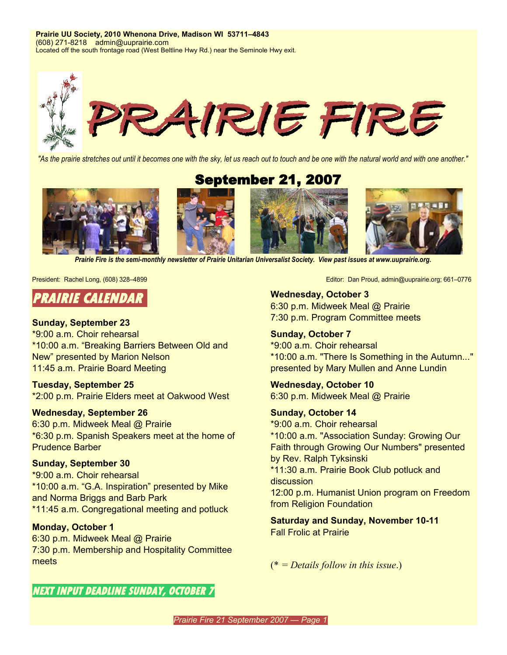**Prairie UU Society, 2010 Whenona Drive, Madison WI 53711–4843** (608) 271-8218 admin@uuprairie.com Located off the south frontage road (West Beltline Hwy Rd.) near the Seminole Hwy exit.



"As the prairie stretches out until it becomes one with the sky, let us reach out to touch and be one with the natural world and with one another."

September 21, 2007



*Prairie Fire is the semi-monthly newsletter of Prairie Unitarian Universalist Society. View past issues at [www.uuprairie.org](http://www.uuprairie.org/)[.](file:///C:/Documents and Settings/Office/My Documents/Prairie Fire newsletter/2007/2006/PF20060421/www.uuprairie.org)*



#### **Sunday, September 23**

\*9:00 a.m. Choir rehearsal \*10:00 a.m. "Breaking Barriers Between Old and New" presented by Marion Nelson 11:45 a.m. Prairie Board Meeting

**Tuesday, September 25** \*2:00 p.m. Prairie Elders meet at Oakwood West

#### **Wednesday, September 26**

6:30 p.m. Midweek Meal @ Prairie \*6:30 p.m. Spanish Speakers meet at the home of Prudence Barber

#### **Sunday, September 30**

\*9:00 a.m. Choir rehearsal \*10:00 a.m. "G.A. Inspiration" presented by Mike and Norma Briggs and Barb Park \*11:45 a.m. Congregational meeting and potluck

#### **Monday, October 1**

6:30 p.m. Midweek Meal @ Prairie 7:30 p.m. Membership and Hospitality Committee meets

President: Rachel Long, (608) 328–4899 **Editor: Dan Proud, admin@uuprairie.org**; 661–0776

**Wednesday, October 3** 6:30 p.m. Midweek Meal @ Prairie 7:30 p.m. Program Committee meets

**Sunday, October 7** \*9:00 a.m. Choir rehearsal \*10:00 a.m. "There Is Something in the Autumn..." presented by Mary Mullen and Anne Lundin

**Wednesday, October 10** 6:30 p.m. Midweek Meal @ Prairie

**Sunday, October 14** \*9:00 a.m. Choir rehearsal \*10:00 a.m. "Association Sunday: Growing Our Faith through Growing Our Numbers" presented by Rev. Ralph Tyksinski \*11:30 a.m. Prairie Book Club potluck and discussion 12:00 p.m. Humanist Union program on Freedom from Religion Foundation

**Saturday and Sunday, November 10-11** Fall Frolic at Prairie

(\* *= Details follow in this issue*.)

**NEXT INPUT DEADLINE SUNDAY, OCTOBER 7**

*Prairie Fire 21 September 2007 — Page 1*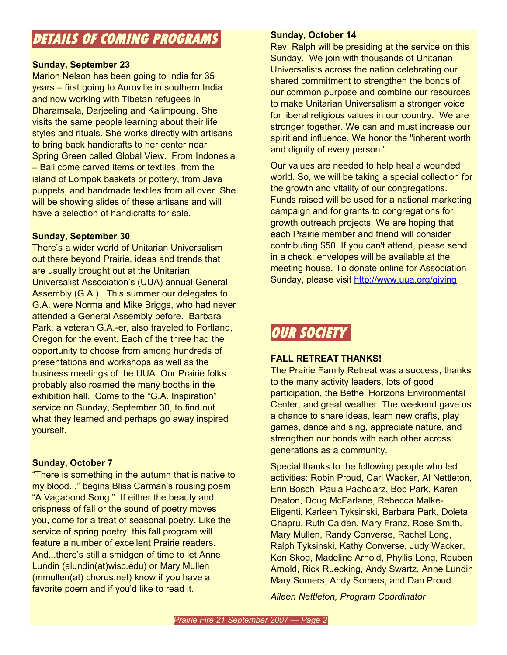## **DETAILS OF COMING PROGRAMS**

## **Sunday, September 23**

Marion Nelson has been going to India for 35 years – first going to Auroville in southern India and now working with Tibetan refugees in Dharamsala, Darjeeling and Kalimpoung. She visits the same people learning about their life styles and rituals. She works directly with artisans to bring back handicrafts to her center near Spring Green called Global View. From Indonesia – Bali come carved items or textiles, from the island of Lompok baskets or pottery, from Java puppets, and handmade textiles from all over. She will be showing slides of these artisans and will have a selection of handicrafts for sale.

## **Sunday, September 30**

There's a wider world of Unitarian Universalism out there beyond Prairie, ideas and trends that are usually brought out at the Unitarian Universalist Association's (UUA) annual General Assembly (G.A.). This summer our delegates to G.A. were Norma and Mike Briggs, who had never attended a General Assembly before. Barbara Park, a veteran G.A.-er, also traveled to Portland, Oregon for the event. Each of the three had the opportunity to choose from among hundreds of presentations and workshops as well as the business meetings of the UUA. Our Prairie folks probably also roamed the many booths in the exhibition hall. Come to the "G.A. Inspiration" service on Sunday, September 30, to find out what they learned and perhaps go away inspired yourself.

## **Sunday, October 7**

"There is something in the autumn that is native to my blood..." begins Bliss Carman's rousing poem "A Vagabond Song." If either the beauty and crispness of fall or the sound of poetry moves you, come for a treat of seasonal poetry. Like the service of spring poetry, this fall program will feature a number of excellent Prairie readers. And...there's still a smidgen of time to let Anne Lundin (alundin(at)wisc.edu) or Mary Mullen (mmullen(at) chorus.net) know if you have a favorite poem and if you'd like to read it.

### **Sunday, October 14**

Rev. Ralph will be presiding at the service on this Sunday. We join with thousands of Unitarian Universalists across the nation celebrating our shared commitment to strengthen the bonds of our common purpose and combine our resources to make Unitarian Universalism a stronger voice for liberal religious values in our country. We are stronger together. We can and must increase our spirit and influence. We honor the "inherent worth and dignity of every person."

Our values are needed to help heal a wounded world. So, we will be taking a special collection for the growth and vitality of our congregations. Funds raised will be used for a national marketing campaign and for grants to congregations for growth outreach projects. We are hoping that each Prairie member and friend will consider contributing \$50. If you can't attend, please send in a check; envelopes will be available at the meeting house. To donate online for Association Sunday, please visit <http://www.uua.org/giving>

# **OUR SOCIETY**

## **FALL RETREAT THANKS!**

The Prairie Family Retreat was a success, thanks to the many activity leaders, lots of good participation, the Bethel Horizons Environmental Center, and great weather. The weekend gave us a chance to share ideas, learn new crafts, play games, dance and sing, appreciate nature, and strengthen our bonds with each other across generations as a community.

Special thanks to the following people who led activities: Robin Proud, Carl Wacker, Al Nettleton, Erin Bosch, Paula Pachciarz, Bob Park, Karen Deaton, Doug McFarlane, Rebecca Malke-Eligenti, Karleen Tyksinski, Barbara Park, Doleta Chapru, Ruth Calden, Mary Franz, Rose Smith, Mary Mullen, Randy Converse, Rachel Long, Ralph Tyksinski, Kathy Converse, Judy Wacker, Ken Skog, Madeline Arnold, Phyllis Long, Reuben Arnold, Rick Ruecking, Andy Swartz, Anne Lundin Mary Somers, Andy Somers, and Dan Proud.

*Aileen Nettleton, Program Coordinator*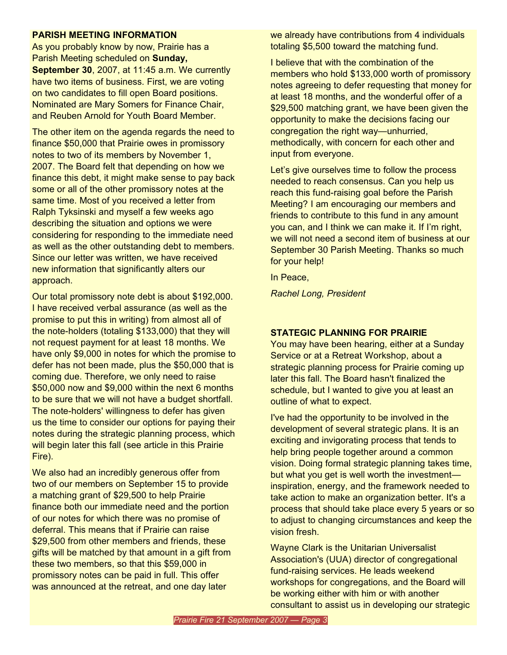#### **PARISH MEETING INFORMATION**

As you probably know by now, Prairie has a Parish Meeting scheduled on **Sunday, September 30**, 2007, at 11:45 a.m. We currently have two items of business. First, we are voting on two candidates to fill open Board positions. Nominated are Mary Somers for Finance Chair, and Reuben Arnold for Youth Board Member.

The other item on the agenda regards the need to finance \$50,000 that Prairie owes in promissory notes to two of its members by November 1, 2007. The Board felt that depending on how we finance this debt, it might make sense to pay back some or all of the other promissory notes at the same time. Most of you received a letter from Ralph Tyksinski and myself a few weeks ago describing the situation and options we were considering for responding to the immediate need as well as the other outstanding debt to members. Since our letter was written, we have received new information that significantly alters our approach.

Our total promissory note debt is about \$192,000. I have received verbal assurance (as well as the promise to put this in writing) from almost all of the note-holders (totaling \$133,000) that they will not request payment for at least 18 months. We have only \$9,000 in notes for which the promise to defer has not been made, plus the \$50,000 that is coming due. Therefore, we only need to raise \$50,000 now and \$9,000 within the next 6 months to be sure that we will not have a budget shortfall. The note-holders' willingness to defer has given us the time to consider our options for paying their notes during the strategic planning process, which will begin later this fall (see article in this Prairie Fire).

We also had an incredibly generous offer from two of our members on September 15 to provide a matching grant of \$29,500 to help Prairie finance both our immediate need and the portion of our notes for which there was no promise of deferral. This means that if Prairie can raise \$29,500 from other members and friends, these gifts will be matched by that amount in a gift from these two members, so that this \$59,000 in promissory notes can be paid in full. This offer was announced at the retreat, and one day later

we already have contributions from 4 individuals totaling \$5,500 toward the matching fund.

I believe that with the combination of the members who hold \$133,000 worth of promissory notes agreeing to defer requesting that money for at least 18 months, and the wonderful offer of a \$29,500 matching grant, we have been given the opportunity to make the decisions facing our congregation the right way—unhurried, methodically, with concern for each other and input from everyone.

Let's give ourselves time to follow the process needed to reach consensus. Can you help us reach this fund-raising goal before the Parish Meeting? I am encouraging our members and friends to contribute to this fund in any amount you can, and I think we can make it. If I'm right, we will not need a second item of business at our September 30 Parish Meeting. Thanks so much for your help!

In Peace,

*Rachel Long, President*

### **STATEGIC PLANNING FOR PRAIRIE**

You may have been hearing, either at a Sunday Service or at a Retreat Workshop, about a strategic planning process for Prairie coming up later this fall. The Board hasn't finalized the schedule, but I wanted to give you at least an outline of what to expect.

I've had the opportunity to be involved in the development of several strategic plans. It is an exciting and invigorating process that tends to help bring people together around a common vision. Doing formal strategic planning takes time, but what you get is well worth the investment inspiration, energy, and the framework needed to take action to make an organization better. It's a process that should take place every 5 years or so to adjust to changing circumstances and keep the vision fresh.

Wayne Clark is the Unitarian Universalist Association's (UUA) director of congregational fund-raising services. He leads weekend workshops for congregations, and the Board will be working either with him or with another consultant to assist us in developing our strategic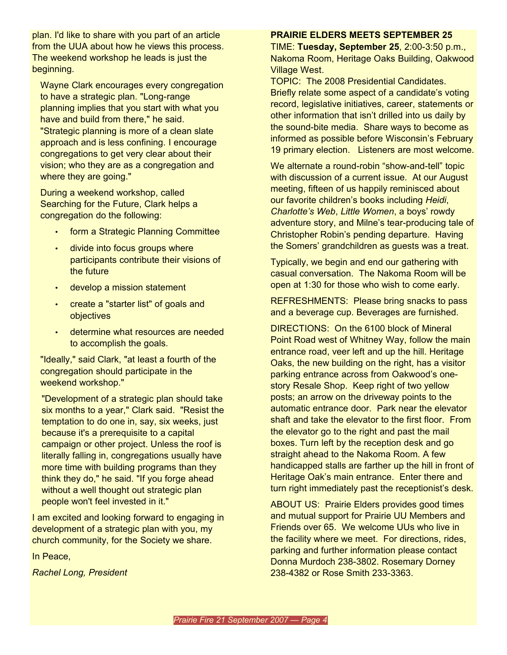plan. I'd like to share with you part of an article from the UUA about how he views this process. The weekend workshop he leads is just the beginning.

Wayne Clark encourages every congregation to have a strategic plan. "Long-range planning implies that you start with what you have and build from there," he said. "Strategic planning is more of a clean slate approach and is less confining. I encourage congregations to get very clear about their vision; who they are as a congregation and where they are going."

During a weekend workshop, called Searching for the Future, Clark helps a congregation do the following:

- form a Strategic Planning Committee
- divide into focus groups where participants contribute their visions of the future
- develop a mission statement
- create a "starter list" of goals and objectives
- determine what resources are needed to accomplish the goals.

"Ideally," said Clark, "at least a fourth of the congregation should participate in the weekend workshop."

"Development of a strategic plan should take six months to a year," Clark said. "Resist the temptation to do one in, say, six weeks, just because it's a prerequisite to a capital campaign or other project. Unless the roof is literally falling in, congregations usually have more time with building programs than they think they do," he said. "If you forge ahead without a well thought out strategic plan people won't feel invested in it."

I am excited and looking forward to engaging in development of a strategic plan with you, my church community, for the Society we share.

In Peace,

*Rachel Long, President*

#### **PRAIRIE ELDERS MEETS SEPTEMBER 25**

TIME: **Tuesday, September 25**, 2:00-3:50 p.m., Nakoma Room, Heritage Oaks Building, Oakwood Village West.

TOPIC: The 2008 Presidential Candidates. Briefly relate some aspect of a candidate's voting record, legislative initiatives, career, statements or other information that isn't drilled into us daily by the sound-bite media. Share ways to become as informed as possible before Wisconsin's February 19 primary election. Listeners are most welcome.

We alternate a round-robin "show-and-tell" topic with discussion of a current issue. At our August meeting, fifteen of us happily reminisced about our favorite children's books including *Heidi*, *Charlotte's Web*, *Little Women*, a boys' rowdy adventure story, and Milne's tear-producing tale of Christopher Robin's pending departure. Having the Somers' grandchildren as guests was a treat.

Typically, we begin and end our gathering with casual conversation. The Nakoma Room will be open at 1:30 for those who wish to come early.

REFRESHMENTS: Please bring snacks to pass and a beverage cup. Beverages are furnished.

DIRECTIONS: On the 6100 block of Mineral Point Road west of Whitney Way, follow the main entrance road, veer left and up the hill. Heritage Oaks, the new building on the right, has a visitor parking entrance across from Oakwood's onestory Resale Shop. Keep right of two yellow posts; an arrow on the driveway points to the automatic entrance door. Park near the elevator shaft and take the elevator to the first floor. From the elevator go to the right and past the mail boxes. Turn left by the reception desk and go straight ahead to the Nakoma Room. A few handicapped stalls are farther up the hill in front of Heritage Oak's main entrance. Enter there and turn right immediately past the receptionist's desk.

ABOUT US: Prairie Elders provides good times and mutual support for Prairie UU Members and Friends over 65. We welcome UUs who live in the facility where we meet. For directions, rides, parking and further information please contact Donna Murdoch 238-3802. Rosemary Dorney 238-4382 or Rose Smith 233-3363.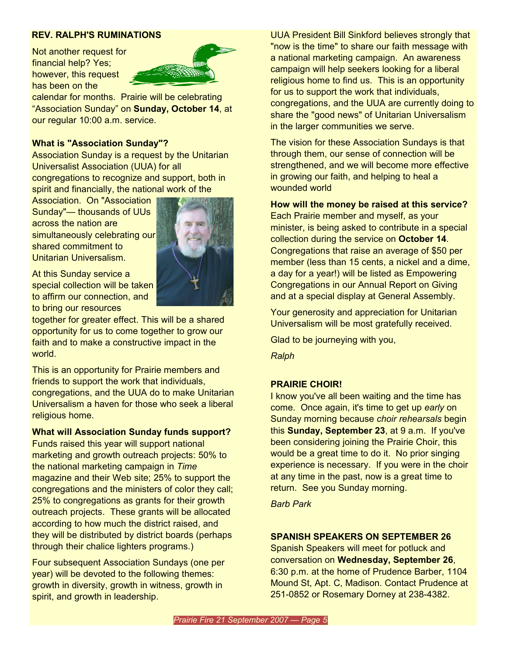#### **REV. RALPH'S RUMINATIONS**

Not another request for financial help? Yes; however, this request has been on the



calendar for months. Prairie will be celebrating "Association Sunday" on **Sunday, October 14**, at our regular 10:00 a.m. service.

#### **What is "Association Sunday"?**

Association Sunday is a request by the Unitarian Universalist Association (UUA) for all congregations to recognize and support, both in spirit and financially, the national work of the

Association. On "Association Sunday"— thousands of UUs across the nation are simultaneously celebrating our shared commitment to Unitarian Universalism.



At this Sunday service a special collection will be taken to affirm our connection, and to bring our resources

together for greater effect. This will be a shared opportunity for us to come together to grow our faith and to make a constructive impact in the world.

This is an opportunity for Prairie members and friends to support the work that individuals, congregations, and the UUA do to make Unitarian Universalism a haven for those who seek a liberal religious home.

#### **What will Association Sunday funds support?**

Funds raised this year will support national marketing and growth outreach projects: 50% to the national marketing campaign in *Time* magazine and their Web site; 25% to support the congregations and the ministers of color they call; 25% to congregations as grants for their growth outreach projects. These grants will be allocated according to how much the district raised, and they will be distributed by district boards (perhaps through their chalice lighters programs.)

Four subsequent Association Sundays (one per year) will be devoted to the following themes: growth in diversity, growth in witness, growth in spirit, and growth in leadership.

UUA President Bill Sinkford believes strongly that "now is the time" to share our faith message with a national marketing campaign. An awareness campaign will help seekers looking for a liberal religious home to find us. This is an opportunity for us to support the work that individuals, congregations, and the UUA are currently doing to share the "good news" of Unitarian Universalism in the larger communities we serve.

The vision for these Association Sundays is that through them, our sense of connection will be strengthened, and we will become more effective in growing our faith, and helping to heal a wounded world

**How will the money be raised at this service?**

Each Prairie member and myself, as your minister, is being asked to contribute in a special collection during the service on **October 14**. Congregations that raise an average of \$50 per member (less than 15 cents, a nickel and a dime, a day for a year!) will be listed as Empowering Congregations in our Annual Report on Giving and at a special display at General Assembly.

Your generosity and appreciation for Unitarian Universalism will be most gratefully received.

Glad to be journeying with you,

*Ralph*

#### **PRAIRIE CHOIR!**

I know you've all been waiting and the time has come. Once again, it's time to get up *early* on Sunday morning because *choir rehearsals* begin this **Sunday, September 23**, at 9 a.m. If you've been considering joining the Prairie Choir, this would be a great time to do it. No prior singing experience is necessary. If you were in the choir at any time in the past, now is a great time to return. See you Sunday morning.

*Barb Park*

#### **SPANISH SPEAKERS ON SEPTEMBER 26**

Spanish Speakers will meet for potluck and conversation on **Wednesday, September 26**, 6:30 p.m. at the home of Prudence Barber, 1104 Mound St, Apt. C, Madison. Contact Prudence at 251-0852 or Rosemary Dorney at 238-4382.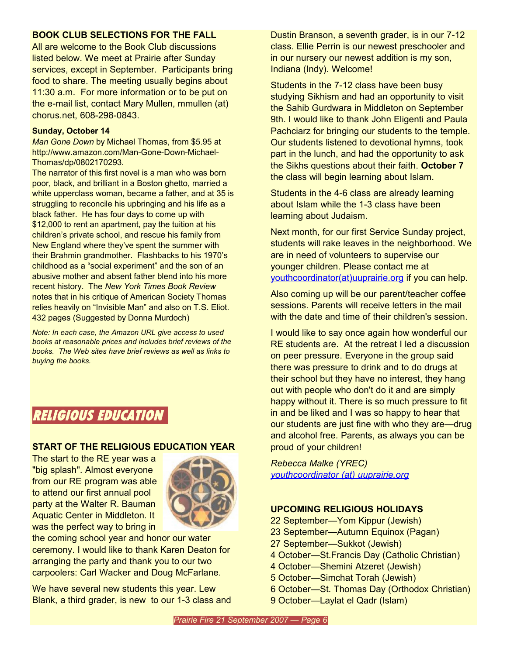## **BOOK CLUB SELECTIONS FOR THE FALL**

All are welcome to the Book Club discussions listed below. We meet at Prairie after Sunday services, except in September. Participants bring food to share. The meeting usually begins about 11:30 a.m. For more information or to be put on the e-mail list, contact Mary Mullen, mmullen (at) chorus.net, 608-298-0843.

#### **Sunday, October 14**

*Man Gone Down* by Michael Thomas, from \$5.95 at [http://www.amazon.com/Man-Gone-Down-Michael-](http://www.amazon.com/Man-Gone-Down-Michael-Thomas/dp/0802170293.)[Thomas/dp/0802170293.](http://www.amazon.com/Man-Gone-Down-Michael-Thomas/dp/0802170293.)

The narrator of this first novel is a man who was born poor, black, and brilliant in a Boston ghetto, married a white upperclass woman, became a father, and at 35 is struggling to reconcile his upbringing and his life as a black father. He has four days to come up with \$12,000 to rent an apartment, pay the tuition at his children's private school, and rescue his family from New England where they've spent the summer with their Brahmin grandmother. Flashbacks to his 1970's childhood as a "social experiment" and the son of an abusive mother and absent father blend into his more recent history. The *New York Times Book Review* notes that in his critique of American Society Thomas relies heavily on "Invisible Man" and also on T.S. Eliot. 432 pages (Suggested by Donna Murdoch)

*Note: In each case, the Amazon URL give access to used books at reasonable prices and includes brief reviews of the books. The Web sites have brief reviews as well as links to buying the books.*

## **RELIGIOUS EDUCATION**

## **START OF THE RELIGIOUS EDUCATION YEAR**

The start to the RE year was a "big splash". Almost everyone from our RE program was able to attend our first annual pool party at the Walter R. Bauman Aquatic Center in Middleton. It was the perfect way to bring in



the coming school year and honor our water ceremony. I would like to thank Karen Deaton for arranging the party and thank you to our two carpoolers: Carl Wacker and Doug McFarlane.

We have several new students this year. Lew Blank, a third grader, is new to our 1-3 class and

Dustin Branson, a seventh grader, is in our 7-12 class. Ellie Perrin is our newest preschooler and in our nursery our newest addition is my son, Indiana (Indy). Welcome!

Students in the 7-12 class have been busy studying Sikhism and had an opportunity to visit the Sahib Gurdwara in Middleton on September 9th. I would like to thank John Eligenti and Paula Pachciarz for bringing our students to the temple. Our students listened to devotional hymns, took part in the lunch, and had the opportunity to ask the Sikhs questions about their faith. **October 7** the class will begin learning about Islam.

Students in the 4-6 class are already learning about Islam while the 1-3 class have been learning about Judaism.

Next month, for our first Service Sunday project, students will rake leaves in the neighborhood. We are in need of volunteers to supervise our younger children. Please contact me at [youthcoordinator\(at\)uuprairie.org](mailto:youthcoordinator@uuprairie.org) if you can help.

Also coming up will be our parent/teacher coffee sessions. Parents will receive letters in the mail with the date and time of their children's session.

I would like to say once again how wonderful our RE students are. At the retreat I led a discussion on peer pressure. Everyone in the group said there was pressure to drink and to do drugs at their school but they have no interest, they hang out with people who don't do it and are simply happy without it. There is so much pressure to fit in and be liked and I was so happy to hear that our students are just fine with who they are—drug and alcohol free. Parents, as always you can be proud of your children!

*Rebecca Malke (YREC) [youthcoordinator](mailto:youthcoordinator@uuprairie.org) (at) uuprairie.org*

## **UPCOMING RELIGIOUS HOLIDAYS**

- 22 September—Yom Kippur (Jewish)
- 23 September—Autumn Equinox (Pagan)
- 27 September—Sukkot (Jewish)
- 4 October—St.Francis Day (Catholic Christian)
- 4 October—Shemini Atzeret (Jewish)
- 5 October—Simchat Torah (Jewish)
- 6 October—St. Thomas Day (Orthodox Christian)
- 9 October—Laylat el Qadr (Islam)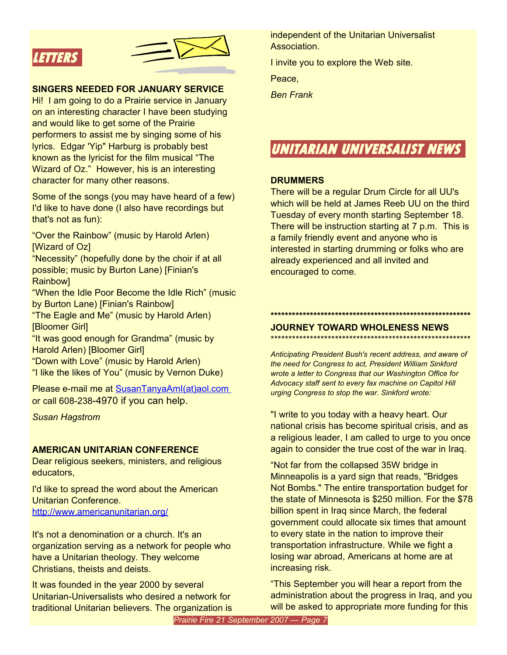



#### **SINGERS NEEDED FOR JANUARY SERVICE**

Hi! I am going to do a Prairie service in January on an interesting character I have been studying and would like to get some of the Prairie performers to assist me by singing some of his lyrics. Edgar 'Yip" Harburg is probably best known as the lyricist for the film musical "The Wizard of Oz." However, his is an interesting character for many other reasons.

Some of the songs (you may have heard of a few) I'd like to have done (I also have recordings but that's not as fun):

"Over the Rainbow" (music by Harold Arlen) [Wizard of Oz]

"Necessity" (hopefully done by the choir if at all possible; music by Burton Lane) [Finian's Rainbow]

"When the Idle Poor Become the Idle Rich" (music by Burton Lane) [Finian's Rainbow]

"The Eagle and Me" (music by Harold Arlen) [Bloomer Girl]

"It was good enough for Grandma" (music by Harold Arlen) [Bloomer Girl]

"Down with Love" (music by Harold Arlen) "I like the likes of You" (music by Vernon Duke)

Please e-mail me at [SusanTanyaAmI\(at\)aol.com](mailto:SusanTanyaAmI@aol.com) or call 608-238-4970 if you can help.

*Susan Hagstrom*

#### **AMERICAN UNITARIAN CONFERENCE**

Dear religious seekers, ministers, and religious educators,

I'd like to spread the word about the American Unitarian Conference. <http://www.americanunitarian.org/>

It's not a denomination or a church. It's an organization serving as a network for people who have a Unitarian theology. They welcome Christians, theists and deists.

It was founded in the year 2000 by several Unitarian-Universalists who desired a network for traditional Unitarian believers. The organization is independent of the Unitarian Universalist Association.

I invite you to explore the Web site.

Peace,

*Ben Frank*

## **UNITARIAN UNIVERSALIST NEWS**

#### **DRUMMERS**

There will be a regular Drum Circle for all UU's which will be held at James Reeb UU on the third Tuesday of every month starting September 18. There will be instruction starting at 7 p.m. This is a family friendly event and anyone who is interested in starting drumming or folks who are already experienced and all invited and encouraged to come.

#### **\*\*\*\*\*\*\*\*\*\*\*\*\*\*\*\*\*\*\*\*\*\*\*\*\*\*\*\*\*\*\*\*\*\*\*\*\*\*\*\*\*\*\*\*\*\*\*\*\*\*\*\*\*\*\*\* JOURNEY TOWARD WHOLENESS NEWS**

\*\*\*\*\*\*\*\*\*\*\*\*\*\*\*\*\*\*\*\*\*\*\*\*\*\*\*\*\*\*\*\*\*\*\*\*\*\*\*\*\*\*\*\*\*\*\*\*\*\*\*\*\*\*\*\*

*Anticipating President Bush's recent address, and aware of the need for Congress to act, President William Sinkford wrote a letter to Congress that our Washington Office for Advocacy staff sent to every fax machine on Capitol Hill urging Congress to stop the war. Sinkford wrote:*

"I write to you today with a heavy heart. Our national crisis has become spiritual crisis, and as a religious leader, I am called to urge to you once again to consider the true cost of the war in Iraq.

"Not far from the collapsed 35W bridge in Minneapolis is a yard sign that reads, "Bridges Not Bombs." The entire transportation budget for the state of Minnesota is \$250 million. For the \$78 billion spent in Iraq since March, the federal government could allocate six times that amount to every state in the nation to improve their transportation infrastructure. While we fight a losing war abroad, Americans at home are at increasing risk.

"This September you will hear a report from the administration about the progress in Iraq, and you will be asked to appropriate more funding for this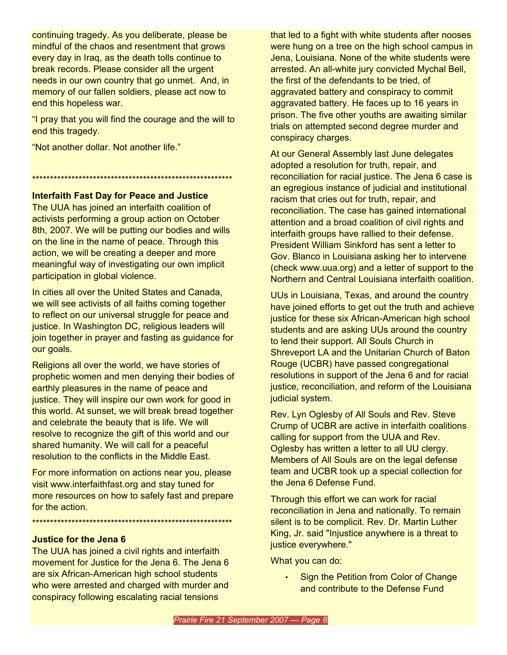continuing tragedy. As you deliberate, please be mindful of the chaos and resentment that grows every day in Iraq, as the death tolls continue to break records. Please consider all the urgent needs in our own country that go unmet. And, in memory of our fallen soldiers, please act now to end this hopeless war.

"I pray that you will find the courage and the will to end this tragedy.

"Not another dollar. Not another life."

\*\*\*\*\*\*\*\*\*\*\*\*\*\*\*\*\*\*\*\*\*\*\*\*\*\*\*\*\*\*\*\*\*\*\*\*\*\*\*\*\*\*\*\*\*\*\*\*\*\*\*\*\*\*\*\*

## **Interfaith Fast Day for Peace and Justice**

The UUA has joined an interfaith coalition of activists performing a group action on October 8th, 2007. We will be putting our bodies and wills on the line in the name of peace. Through this action, we will be creating a deeper and more meaningful way of investigating our own implicit participation in global violence.

In cities all over the United States and Canada, we will see activists of all faiths coming together to reflect on our universal struggle for peace and justice. In Washington DC, religious leaders will join together in prayer and fasting as guidance for our goals.

Religions all over the world, we have stories of prophetic women and men denying their bodies of earthly pleasures in the name of peace and justice. They will inspire our own work for good in this world. At sunset, we will break bread together and celebrate the beauty that is life. We will resolve to recognize the gift of this world and our shared humanity. We will call for a peaceful resolution to the conflicts in the Middle East.

For more information on actions near you, please visit www.interfaithfast.org and stay tuned for more resources on how to safely fast and prepare for the action.

\*\*\*\*\*\*\*\*\*\*\*\*\*\*\*\*\*\*\*\*\*\*\*\*\*\*\*\*\*\*\*\*\*\*\*\*\*\*\*\*\*\*\*\*\*\*\*\*\*\*\*\*\*\*\*\*

## **Justice for the Jena 6**

The UUA has joined a civil rights and interfaith movement for Justice for the Jena 6. The Jena 6 are six African-American high school students who were arrested and charged with murder and conspiracy following escalating racial tensions

that led to a fight with white students after nooses were hung on a tree on the high school campus in Jena, Louisiana. None of the white students were arrested. An all-white jury convicted Mychal Bell, the first of the defendants to be tried, of aggravated battery and conspiracy to commit aggravated battery. He faces up to 16 years in prison. The five other youths are awaiting similar trials on attempted second degree murder and conspiracy charges.

At our General Assembly last June delegates adopted a resolution for truth, repair, and reconciliation for racial justice. The Jena 6 case is an egregious instance of judicial and institutional racism that cries out for truth, repair, and reconciliation. The case has gained international attention and a broad coalition of civil rights and interfaith groups have rallied to their defense. President William Sinkford has sent a letter to Gov. Blanco in Louisiana asking her to intervene (check www.uua.org) and a letter of support to the Northern and Central Louisiana interfaith coalition.

UUs in Louisiana, Texas, and around the country have joined efforts to get out the truth and achieve justice for these six African-American high school students and are asking UUs around the country to lend their support. All Souls Church in Shreveport LA and the Unitarian Church of Baton Rouge (UCBR) have passed congregational resolutions in support of the Jena 6 and for racial justice, reconciliation, and reform of the Louisiana judicial system.

Rev. Lyn Oglesby of All Souls and Rev. Steve Crump of UCBR are active in interfaith coalitions calling for support from the UUA and Rev. Oglesby has written a letter to all UU clergy. Members of All Souls are on the legal defense team and UCBR took up a special collection for the Jena 6 Defense Fund.

Through this effort we can work for racial reconciliation in Jena and nationally. To remain silent is to be complicit. Rev. Dr. Martin Luther King, Jr. said "Injustice anywhere is a threat to justice everywhere."

What you can do:

• Sign the Petition from Color of Change and contribute to the Defense Fund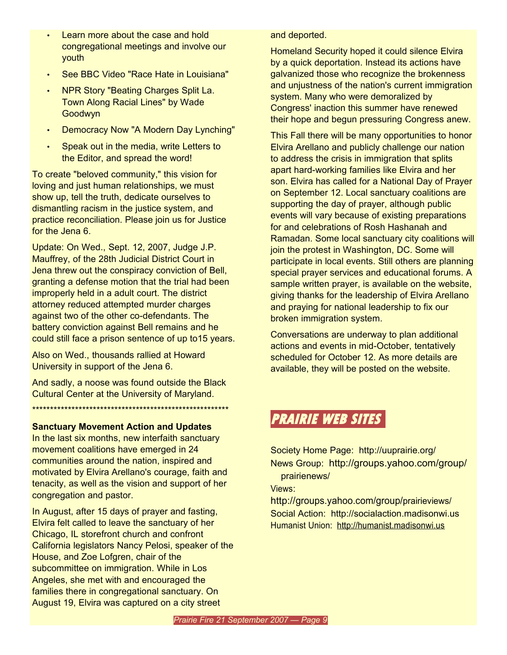- Learn more about the case and hold congregational meetings and involve our youth
- See BBC Video "Race Hate in Louisiana"
- NPR Story "Beating Charges Split La. Town Along Racial Lines" by Wade Goodwyn
- Democracy Now "A Modern Day Lynching"
- Speak out in the media, write Letters to the Editor, and spread the word!

To create "beloved community," this vision for loving and just human relationships, we must show up, tell the truth, dedicate ourselves to dismantling racism in the justice system, and practice reconciliation. Please join us for Justice for the Jena 6.

Update: On Wed., Sept. 12, 2007, Judge J.P. Mauffrey, of the 28th Judicial District Court in Jena threw out the conspiracy conviction of Bell, granting a defense motion that the trial had been improperly held in a adult court. The district attorney reduced attempted murder charges against two of the other co-defendants. The battery conviction against Bell remains and he could still face a prison sentence of up to15 years.

Also on Wed., thousands rallied at Howard University in support of the Jena 6.

And sadly, a noose was found outside the Black Cultural Center at the University of Maryland.

\*\*\*\*\*\*\*\*\*\*\*\*\*\*\*\*\*\*\*\*\*\*\*\*\*\*\*\*\*\*\*\*\*\*\*\*\*\*\*\*\*\*\*\*\*\*\*\*\*\*\*\*\*\*\*

## **Sanctuary Movement Action and Updates**

In the last six months, new interfaith sanctuary movement coalitions have emerged in 24 communities around the nation, inspired and motivated by Elvira Arellano's courage, faith and tenacity, as well as the vision and support of her congregation and pastor.

In August, after 15 days of prayer and fasting, Elvira felt called to leave the sanctuary of her Chicago, IL storefront church and confront California legislators Nancy Pelosi, speaker of the House, and Zoe Lofgren, chair of the subcommittee on immigration. While in Los Angeles, she met with and encouraged the families there in congregational sanctuary. On August 19, Elvira was captured on a city street

and deported.

Homeland Security hoped it could silence Elvira by a quick deportation. Instead its actions have galvanized those who recognize the brokenness and unjustness of the nation's current immigration system. Many who were demoralized by Congress' inaction this summer have renewed their hope and begun pressuring Congress anew.

This Fall there will be many opportunities to honor Elvira Arellano and publicly challenge our nation to address the crisis in immigration that splits apart hard-working families like Elvira and her son. Elvira has called for a National Day of Prayer on September 12. Local sanctuary coalitions are supporting the day of prayer, although public events will vary because of existing preparations for and celebrations of Rosh Hashanah and Ramadan. Some local sanctuary city coalitions will join the protest in Washington, DC. Some will participate in local events. Still others are planning special prayer services and educational forums. A sample written prayer, is available on the website, giving thanks for the leadership of Elvira Arellano and praying for national leadership to fix our broken immigration system.

Conversations are underway to plan additional actions and events in mid-October, tentatively scheduled for October 12. As more details are available, they will be posted on the website.

## **PRAIRIE WEB SITES**

Society Home Page: http://uuprairie.org/ News Group: <http://groups.yahoo.com/group/> prairienews/

Views:

<http://groups.yahoo.com/group/>prairieviews/ Social Action: http://socialaction.madisonwi.us Humanist Union: [http://humanist.madisonwi.us](http://humanist.madisonwi.us/)